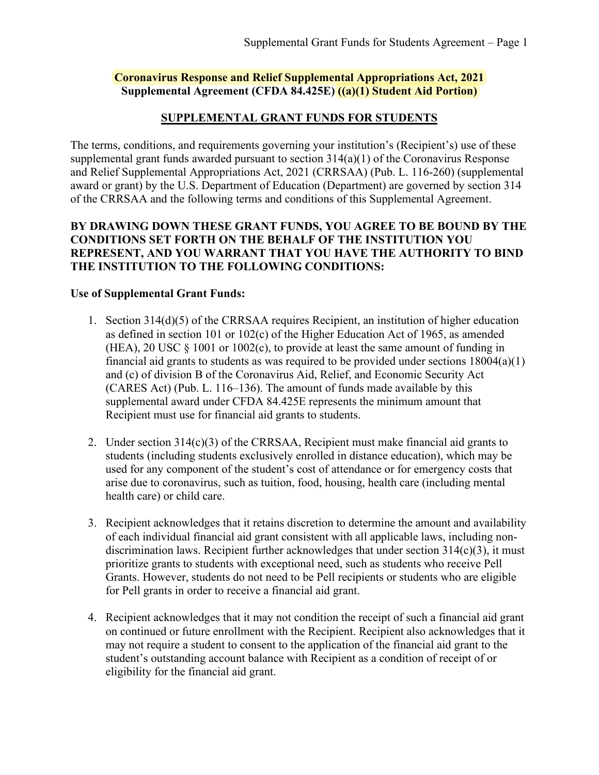### **Coronavirus Response and Relief Supplemental Appropriations Act, 2021 Supplemental Agreement (CFDA 84.425E) ((a)(1) Student Aid Portion)**

### **SUPPLEMENTAL GRANT FUNDS FOR STUDENTS**

The terms, conditions, and requirements governing your institution's (Recipient's) use of these supplemental grant funds awarded pursuant to section 314(a)(1) of the Coronavirus Response and Relief Supplemental Appropriations Act, 2021 (CRRSAA) (Pub. L. 116-260) (supplemental award or grant) by the U.S. Department of Education (Department) are governed by section 314 of the CRRSAA and the following terms and conditions of this Supplemental Agreement.

### **BY DRAWING DOWN THESE GRANT FUNDS, YOU AGREE TO BE BOUND BY THE CONDITIONS SET FORTH ON THE BEHALF OF THE INSTITUTION YOU REPRESENT, AND YOU WARRANT THAT YOU HAVE THE AUTHORITY TO BIND THE INSTITUTION TO THE FOLLOWING CONDITIONS:**

#### **Use of Supplemental Grant Funds:**

- 1. Section 314(d)(5) of the CRRSAA requires Recipient, an institution of higher education as defined in section 101 or 102(c) of the Higher Education Act of 1965, as amended (HEA), 20 USC  $\S$  1001 or 1002(c), to provide at least the same amount of funding in financial aid grants to students as was required to be provided under sections  $18004(a)(1)$ and (c) of division B of the Coronavirus Aid, Relief, and Economic Security Act (CARES Act) (Pub. L. 116–136). The amount of funds made available by this supplemental award under CFDA 84.425E represents the minimum amount that Recipient must use for financial aid grants to students.
- 2. Under section 314(c)(3) of the CRRSAA, Recipient must make financial aid grants to students (including students exclusively enrolled in distance education), which may be used for any component of the student's cost of attendance or for emergency costs that arise due to coronavirus, such as tuition, food, housing, health care (including mental health care) or child care.
- 3. Recipient acknowledges that it retains discretion to determine the amount and availability of each individual financial aid grant consistent with all applicable laws, including nondiscrimination laws. Recipient further acknowledges that under section 314(c)(3), it must prioritize grants to students with exceptional need, such as students who receive Pell Grants. However, students do not need to be Pell recipients or students who are eligible for Pell grants in order to receive a financial aid grant.
- 4. Recipient acknowledges that it may not condition the receipt of such a financial aid grant on continued or future enrollment with the Recipient. Recipient also acknowledges that it may not require a student to consent to the application of the financial aid grant to the student's outstanding account balance with Recipient as a condition of receipt of or eligibility for the financial aid grant.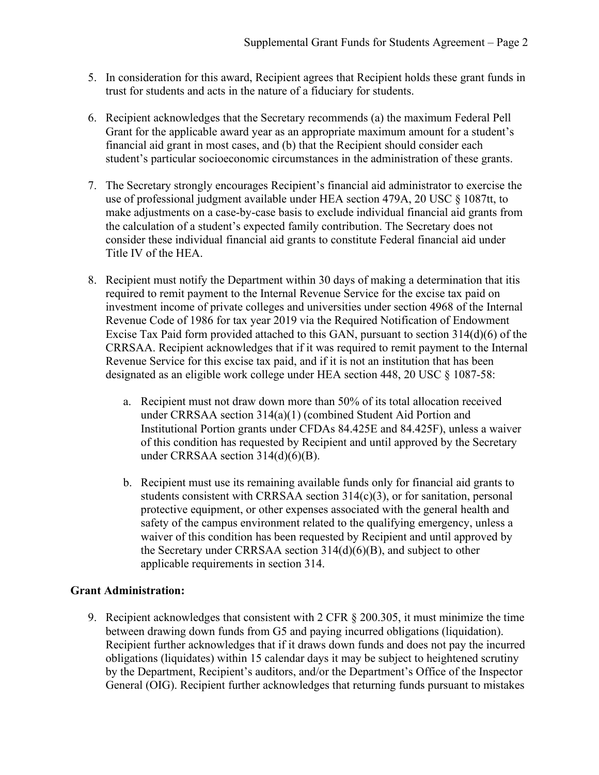- 5. In consideration for this award, Recipient agrees that Recipient holds these grant funds in trust for students and acts in the nature of a fiduciary for students.
- 6. Recipient acknowledges that the Secretary recommends (a) the maximum Federal Pell Grant for the applicable award year as an appropriate maximum amount for a student's financial aid grant in most cases, and (b) that the Recipient should consider each student's particular socioeconomic circumstances in the administration of these grants.
- 7. The Secretary strongly encourages Recipient's financial aid administrator to exercise the use of professional judgment available under HEA section 479A, 20 USC § 1087tt, to make adjustments on a case-by-case basis to exclude individual financial aid grants from the calculation of a student's expected family contribution. The Secretary does not consider these individual financial aid grants to constitute Federal financial aid under Title IV of the HEA.
- 8. Recipient must notify the Department within 30 days of making a determination that itis required to remit payment to the Internal Revenue Service for the excise tax paid on investment income of private colleges and universities under section 4968 of the Internal Revenue Code of 1986 for tax year 2019 via the Required Notification of Endowment Excise Tax Paid form provided attached to this GAN, pursuant to section 314(d)(6) of the CRRSAA. Recipient acknowledges that if it was required to remit payment to the Internal Revenue Service for this excise tax paid, and if it is not an institution that has been designated as an eligible work college under HEA section 448, 20 USC § 1087-58:
	- a. Recipient must not draw down more than 50% of its total allocation received under CRRSAA section 314(a)(1) (combined Student Aid Portion and Institutional Portion grants under CFDAs 84.425E and 84.425F), unless a waiver of this condition has requested by Recipient and until approved by the Secretary under CRRSAA section 314(d)(6)(B).
	- b. Recipient must use its remaining available funds only for financial aid grants to students consistent with CRRSAA section 314(c)(3), or for sanitation, personal protective equipment, or other expenses associated with the general health and safety of the campus environment related to the qualifying emergency, unless a waiver of this condition has been requested by Recipient and until approved by the Secretary under CRRSAA section 314(d)(6)(B), and subject to other applicable requirements in section 314.

# **Grant Administration:**

9. Recipient acknowledges that consistent with 2 CFR § 200.305, it must minimize the time between drawing down funds from G5 and paying incurred obligations (liquidation). Recipient further acknowledges that if it draws down funds and does not pay the incurred obligations (liquidates) within 15 calendar days it may be subject to heightened scrutiny by the Department, Recipient's auditors, and/or the Department's Office of the Inspector General (OIG). Recipient further acknowledges that returning funds pursuant to mistakes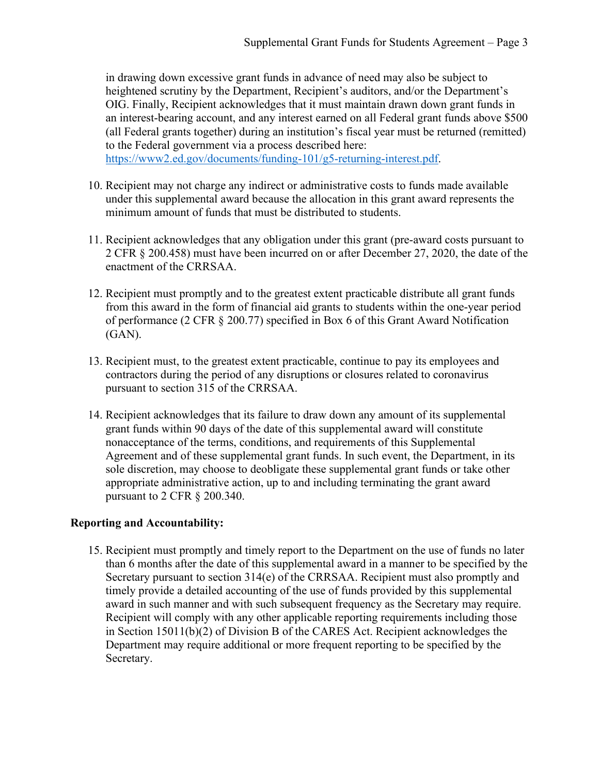in drawing down excessive grant funds in advance of need may also be subject to heightened scrutiny by the Department, Recipient's auditors, and/or the Department's OIG. Finally, Recipient acknowledges that it must maintain drawn down grant funds in an interest-bearing account, and any interest earned on all Federal grant funds above \$500 (all Federal grants together) during an institution's fiscal year must be returned (remitted) to the Federal government via a process described here:

[https://www2.ed.gov/documents/funding-101/g5-returning-interest.pdf.](https://www2.ed.gov/documents/funding-101/g5-returning-interest.pdf)

- 10. Recipient may not charge any indirect or administrative costs to funds made available under this supplemental award because the allocation in this grant award represents the minimum amount of funds that must be distributed to students.
- 11. Recipient acknowledges that any obligation under this grant (pre-award costs pursuant to 2 CFR § 200.458) must have been incurred on or after December 27, 2020, the date of the enactment of the CRRSAA.
- 12. Recipient must promptly and to the greatest extent practicable distribute all grant funds from this award in the form of financial aid grants to students within the one-year period of performance (2 CFR § 200.77) specified in Box 6 of this Grant Award Notification (GAN).
- 13. Recipient must, to the greatest extent practicable, continue to pay its employees and contractors during the period of any disruptions or closures related to coronavirus pursuant to section 315 of the CRRSAA.
- 14. Recipient acknowledges that its failure to draw down any amount of its supplemental grant funds within 90 days of the date of this supplemental award will constitute nonacceptance of the terms, conditions, and requirements of this Supplemental Agreement and of these supplemental grant funds. In such event, the Department, in its sole discretion, may choose to deobligate these supplemental grant funds or take other appropriate administrative action, up to and including terminating the grant award pursuant to 2 CFR § 200.340.

#### **Reporting and Accountability:**

15. Recipient must promptly and timely report to the Department on the use of funds no later than 6 months after the date of this supplemental award in a manner to be specified by the Secretary pursuant to section 314(e) of the CRRSAA. Recipient must also promptly and timely provide a detailed accounting of the use of funds provided by this supplemental award in such manner and with such subsequent frequency as the Secretary may require. Recipient will comply with any other applicable reporting requirements including those in Section 15011(b)(2) of Division B of the CARES Act. Recipient acknowledges the Department may require additional or more frequent reporting to be specified by the Secretary.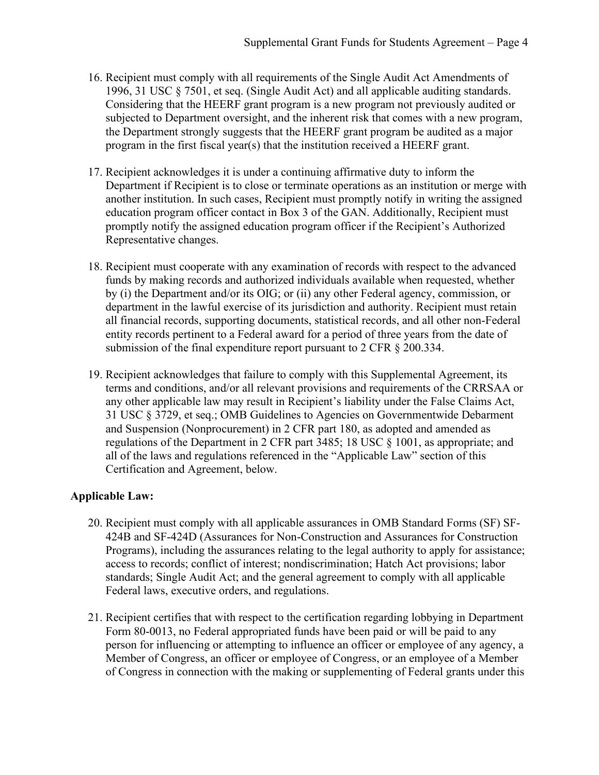- 16. Recipient must comply with all requirements of the Single Audit Act Amendments of 1996, 31 USC § 7501, et seq. (Single Audit Act) and all applicable auditing standards. Considering that the HEERF grant program is a new program not previously audited or subjected to Department oversight, and the inherent risk that comes with a new program, the Department strongly suggests that the HEERF grant program be audited as a major program in the first fiscal year(s) that the institution received a HEERF grant.
- 17. Recipient acknowledges it is under a continuing affirmative duty to inform the Department if Recipient is to close or terminate operations as an institution or merge with another institution. In such cases, Recipient must promptly notify in writing the assigned education program officer contact in Box 3 of the GAN. Additionally, Recipient must promptly notify the assigned education program officer if the Recipient's Authorized Representative changes.
- 18. Recipient must cooperate with any examination of records with respect to the advanced funds by making records and authorized individuals available when requested, whether by (i) the Department and/or its OIG; or (ii) any other Federal agency, commission, or department in the lawful exercise of its jurisdiction and authority. Recipient must retain all financial records, supporting documents, statistical records, and all other non-Federal entity records pertinent to a Federal award for a period of three years from the date of submission of the final expenditure report pursuant to 2 CFR § 200.334.
- 19. Recipient acknowledges that failure to comply with this Supplemental Agreement, its terms and conditions, and/or all relevant provisions and requirements of the CRRSAA or any other applicable law may result in Recipient's liability under the False Claims Act, 31 USC § 3729, et seq.; OMB Guidelines to Agencies on Governmentwide Debarment and Suspension (Nonprocurement) in 2 CFR part 180, as adopted and amended as regulations of the Department in 2 CFR part 3485; 18 USC § 1001, as appropriate; and all of the laws and regulations referenced in the "Applicable Law" section of this Certification and Agreement, below.

# **Applicable Law:**

- 20. Recipient must comply with all applicable assurances in OMB Standard Forms (SF) SF-424B and SF-424D (Assurances for Non-Construction and Assurances for Construction Programs), including the assurances relating to the legal authority to apply for assistance; access to records; conflict of interest; nondiscrimination; Hatch Act provisions; labor standards; Single Audit Act; and the general agreement to comply with all applicable Federal laws, executive orders, and regulations.
- 21. Recipient certifies that with respect to the certification regarding lobbying in Department Form 80-0013, no Federal appropriated funds have been paid or will be paid to any person for influencing or attempting to influence an officer or employee of any agency, a Member of Congress, an officer or employee of Congress, or an employee of a Member of Congress in connection with the making or supplementing of Federal grants under this